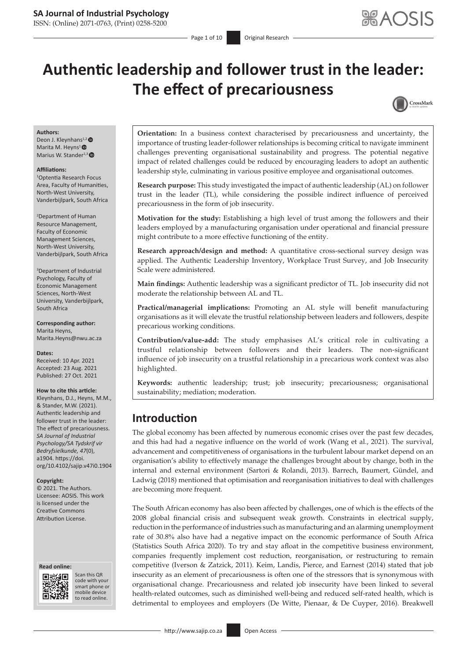ISSN: (Online) 2071-0763, (Print) 0258-5200

# **Authentic leadership and follower trust in the leader: The effect of precariousness**



#### **Authors:**

Deon J. Kleynhans<sup>1,2</sup> Marita M. Heyns<sup>1</sup><sup>®</sup> Marius W. Stander<sup>1,3</sup><sup>0</sup>

#### **Affiliations:**

1 Optentia Research Focus Area, Faculty of Humanities, North-West University, Vanderbijlpark, South Africa

2 Department of Human Resource Management, Faculty of Economic Management Sciences, North-West University, Vanderbijlpark, South Africa

3 Department of Industrial Psychology, Faculty of Economic Management Sciences, North-West University, Vanderbijlpark, South Africa

**Corresponding author:** Marita Heyns, [Marita.Heyns@nwu.ac.za](mailto:Marita.Heyns@nwu.ac.za)

**Dates:** Received: 10 Apr. 2021 Accepted: 23 Aug. 2021 Published: 27 Oct. 2021

#### **How to cite this article:**

Kleynhans, D.J., Heyns, M.M., & Stander, M.W. (2021). Authentic leadership and follower trust in the leader: The effect of precariousness. *SA Journal of Industrial Psychology/SA Tydskrif vir Bedryfsielkunde, 47*(0), a1904. [https://doi.](https://doi.org/10.4102/sajip.v47i0.1904) [org/10.4102/sajip.v47i0.1904](https://doi.org/10.4102/sajip.v47i0.1904)

#### **Copyright:**

© 2021. The Authors. Licensee: AOSIS. This work is licensed under the Creative Commons Attribution License.





Scan this QR code with your Scan this QR<br>code with your<br>smart phone or<br>mobile device mobile device to read online. to read online.

**Orientation:** In a business context characterised by precariousness and uncertainty, the importance of trusting leader-follower relationships is becoming critical to navigate imminent challenges preventing organisational sustainability and progress. The potential negative impact of related challenges could be reduced by encouraging leaders to adopt an authentic leadership style, culminating in various positive employee and organisational outcomes.

**Research purpose:** This study investigated the impact of authentic leadership (AL) on follower trust in the leader (TL), while considering the possible indirect influence of perceived precariousness in the form of job insecurity.

**Motivation for the study:** Establishing a high level of trust among the followers and their leaders employed by a manufacturing organisation under operational and financial pressure might contribute to a more effective functioning of the entity.

**Research approach/design and method:** A quantitative cross-sectional survey design was applied. The Authentic Leadership Inventory, Workplace Trust Survey, and Job Insecurity Scale were administered.

**Main findings:** Authentic leadership was a significant predictor of TL. Job insecurity did not moderate the relationship between AL and TL.

**Practical/managerial implications:** Promoting an AL style will benefit manufacturing organisations as it will elevate the trustful relationship between leaders and followers, despite precarious working conditions.

**Contribution/value-add:** The study emphasises AL's critical role in cultivating a trustful relationship between followers and their leaders. The non-significant influence of job insecurity on a trustful relationship in a precarious work context was also highlighted.

**Keywords:** authentic leadership; trust; job insecurity; precariousness; organisational sustainability; mediation; moderation.

### **Introduction**

The global economy has been affected by numerous economic crises over the past few decades, and this had had a negative influence on the world of work (Wang et al., 2021). The survival, advancement and competitiveness of organisations in the turbulent labour market depend on an organisation's ability to effectively manage the challenges brought about by change, both in the internal and external environment (Sartori & Rolandi, 2013). Barrech, Baumert, Gündel, and Ladwig (2018) mentioned that optimisation and reorganisation initiatives to deal with challenges are becoming more frequent.

The South African economy has also been affected by challenges, one of which is the effects of the 2008 global financial crisis and subsequent weak growth. Constraints in electrical supply, reduction in the performance of industries such as manufacturing and an alarming unemployment rate of 30.8% also have had a negative impact on the economic performance of South Africa (Statistics South Africa 2020). To try and stay afloat in the competitive business environment, companies frequently implement cost reduction, reorganisation, or restructuring to remain competitive (Iverson & Zatzick, 2011). Keim, Landis, Pierce, and Earnest (2014) stated that job insecurity as an element of precariousness is often one of the stressors that is synonymous with organisational change. Precariousness and related job insecurity have been linked to several health-related outcomes, such as diminished well-being and reduced self-rated health, which is detrimental to employees and employers (De Witte, Pienaar, & De Cuyper, 2016). Breakwell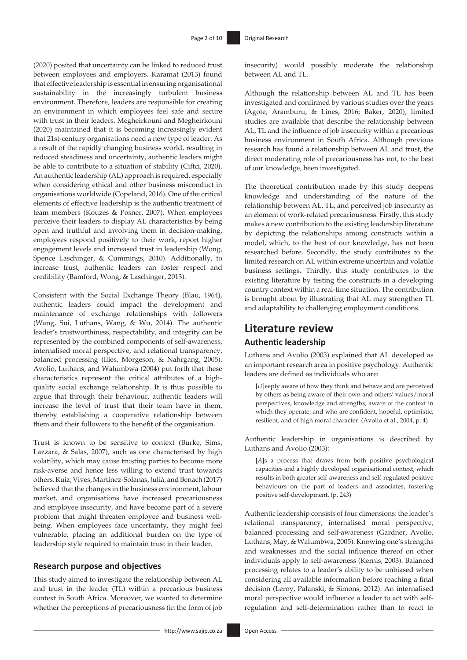(2020) posited that uncertainty can be linked to reduced trust between employees and employers. Karamat (2013) found that effective leadership is essential in ensuring organisational sustainability in the increasingly turbulent business environment. Therefore, leaders are responsible for creating an environment in which employees feel safe and secure with trust in their leaders. Megheirkouni and Megheirkouni (2020) maintained that it is becoming increasingly evident that 21st-century organisations need a new type of leader. As a result of the rapidly changing business world, resulting in reduced steadiness and uncertainty, authentic leaders might be able to contribute to a situation of stability (Ciftci, 2020). An authentic leadership (AL) approach is required, especially when considering ethical and other business misconduct in organisations worldwide (Copeland, 2016). One of the critical elements of effective leadership is the authentic treatment of team members (Kouzes & Posner, 2007). When employees perceive their leaders to display AL characteristics by being open and truthful and involving them in decision-making, employees respond positively to their work, report higher engagement levels and increased trust in leadership (Wong, Spence Laschinger, & Cummings, 2010). Additionally, to increase trust, authentic leaders can foster respect and credibility (Bamford, Wong, & Laschinger, 2013).

Consistent with the Social Exchange Theory (Blau, 1964), authentic leaders could impact the development and maintenance of exchange relationships with followers (Wang, Sui, Luthans, Wang, & Wu, 2014). The authentic leader's trustworthiness, respectability, and integrity can be represented by the combined components of self-awareness, internalised moral perspective, and relational transparency, balanced processing (Ilies, Morgeson, & Nahrgang, 2005). Avolio, Luthans, and Walumbwa (2004) put forth that these characteristics represent the critical attributes of a highquality social exchange relationship. It is thus possible to argue that through their behaviour, authentic leaders will increase the level of trust that their team have in them, thereby establishing a cooperative relationship between them and their followers to the benefit of the organisation.

Trust is known to be sensitive to context (Burke, Sims, Lazzara, & Salas, 2007), such as one characterised by high volatility, which may cause trusting parties to become more risk-averse and hence less willing to extend trust towards others. Ruiz, Vives, Martínez-Solanas, Julià, and Benach(2017) believed that the changes in the business environment, labour market, and organisations have increased precariousness and employee insecurity, and have become part of a severe problem that might threaten employee and business wellbeing. When employees face uncertainty, they might feel vulnerable, placing an additional burden on the type of leadership style required to maintain trust in their leader.

#### **Research purpose and objectives**

This study aimed to investigate the relationship between AL and trust in the leader (TL) within a precarious business context in South Africa. Moreover, we wanted to determine whether the perceptions of precariousness (in the form of job

insecurity) would possibly moderate the relationship between AL and TL.

Although the relationship between AL and TL has been investigated and confirmed by various studies over the years (Agote, Aramburu, & Lines, 2016; Baker, 2020), limited studies are available that describe the relationship between AL, TL and the influence of job insecurity within a precarious business environment in South Africa. Although previous research has found a relationship between AL and trust, the direct moderating role of precariousness has not, to the best of our knowledge, been investigated.

The theoretical contribution made by this study deepens knowledge and understanding of the nature of the relationship between AL, TL, and perceived job insecurity as an element of work-related precariousness. Firstly, this study makes a new contribution to the existing leadership literature by depicting the relationships among constructs within a model, which, to the best of our knowledge, has not been researched before. Secondly, the study contributes to the limited research on AL within extreme uncertain and volatile business settings. Thirdly, this study contributes to the existing literature by testing the constructs in a developing country context within a real-time situation. The contribution is brought about by illustrating that AL may strengthen TL and adaptability to challenging employment conditions.

## **Literature review Authentic leadership**

Luthans and Avolio (2003) explained that AL developed as an important research area in positive psychology. Authentic leaders are defined as individuals who are:

[*D*]eeply aware of how they think and behave and are perceived by others as being aware of their own and others' values/moral perspectives, knowledge and strengths; aware of the context in which they operate; and who are confident, hopeful, optimistic, resilient, and of high moral character. (Avolio et al., 2004, p. 4)

Authentic leadership in organisations is described by Luthans and Avolio (2003):

[*A*]s a process that draws from both positive psychological capacities and a highly developed organisational context, which results in both greater self-awareness and self-regulated positive behaviours on the part of leaders and associates, fostering positive self-development. (p. 243)

Authentic leadership consists of four dimensions: the leader's relational transparency, internalised moral perspective, balanced processing and self-awareness (Gardner, Avolio, Luthans, May, & Walumbwa, 2005). Knowing one's strengths and weaknesses and the social influence thereof on other individuals apply to self-awareness (Kernis, 2003). Balanced processing relates to a leader's ability to be unbiased when considering all available information before reaching a final decision (Leroy, Palanski, & Simons, 2012). An internalised moral perspective would influence a leader to act with selfregulation and self-determination rather than to react to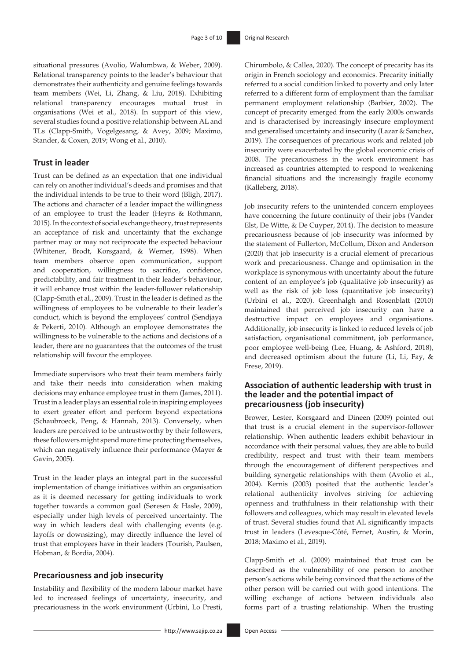situational pressures (Avolio, Walumbwa, & Weber, 2009). Relational transparency points to the leader's behaviour that demonstrates their authenticity and genuine feelings towards team members (Wei, Li, Zhang, & Liu, 2018). Exhibiting relational transparency encourages mutual trust in organisations (Wei et al., 2018). In support of this view, several studies found a positive relationship between AL and TLs (Clapp-Smith, Vogelgesang, & Avey, 2009; Maximo, Stander, & Coxen, 2019; Wong et al., 2010).

#### **Trust in leader**

Trust can be defined as an expectation that one individual can rely on another individual's deeds and promises and that the individual intends to be true to their word (Bligh, 2017). The actions and character of a leader impact the willingness of an employee to trust the leader (Heyns & Rothmann, 2015). In the context of social exchange theory, trust represents an acceptance of risk and uncertainty that the exchange partner may or may not reciprocate the expected behaviour (Whitener, Brodt, Korsgaard, & Werner, 1998). When team members observe open communication, support and cooperation, willingness to sacrifice, confidence, predictability, and fair treatment in their leader's behaviour, it will enhance trust within the leader-follower relationship (Clapp-Smith et al., 2009). Trust in the leader is defined as the willingness of employees to be vulnerable to their leader's conduct, which is beyond the employees' control (Sendjaya & Pekerti, 2010). Although an employee demonstrates the willingness to be vulnerable to the actions and decisions of a leader, there are no guarantees that the outcomes of the trust relationship will favour the employee.

Immediate supervisors who treat their team members fairly and take their needs into consideration when making decisions may enhance employee trust in them (James, 2011). Trust in a leader plays an essential role in inspiring employees to exert greater effort and perform beyond expectations (Schaubroeck, Peng, & Hannah, 2013). Conversely, when leaders are perceived to be untrustworthy by their followers, these followers might spend more time protecting themselves, which can negatively influence their performance (Mayer & Gavin, 2005).

Trust in the leader plays an integral part in the successful implementation of change initiatives within an organisation as it is deemed necessary for getting individuals to work together towards a common goal (Søresen & Hasle, 2009), especially under high levels of perceived uncertainty. The way in which leaders deal with challenging events (e.g. layoffs or downsizing), may directly influence the level of trust that employees have in their leaders (Tourish, Paulsen, Hobman, & Bordia, 2004).

#### **Precariousness and job insecurity**

Instability and flexibility of the modern labour market have led to increased feelings of uncertainty, insecurity, and precariousness in the work environment (Urbini, Lo Presti,

Chirumbolo, & Callea, 2020). The concept of precarity has its origin in French sociology and economics. Precarity initially referred to a social condition linked to poverty and only later referred to a different form of employment than the familiar permanent employment relationship (Barbier, 2002). The concept of precarity emerged from the early 2000s onwards and is characterised by increasingly insecure employment and generalised uncertainty and insecurity (Lazar & Sanchez, 2019). The consequences of precarious work and related job insecurity were exacerbated by the global economic crisis of 2008. The precariousness in the work environment has increased as countries attempted to respond to weakening financial situations and the increasingly fragile economy (Kalleberg, 2018).

Job insecurity refers to the unintended concern employees have concerning the future continuity of their jobs (Vander Elst, De Witte, & De Cuyper, 2014). The decision to measure precariousness because of job insecurity was informed by the statement of Fullerton, McCollum, Dixon and Anderson (2020) that job insecurity is a crucial element of precarious work and precariousness. Change and optimisation in the workplace is synonymous with uncertainty about the future content of an employee's job (qualitative job insecurity) as well as the risk of job loss (quantitative job insecurity) (Urbini et al., 2020). Greenhalgh and Rosenblatt (2010) maintained that perceived job insecurity can have a destructive impact on employees and organisations. Additionally, job insecurity is linked to reduced levels of job satisfaction, organisational commitment, job performance, poor employee well-being (Lee, Huang, & Ashford, 2018), and decreased optimism about the future (Li, Li, Fay, & Frese, 2019).

#### **Association of authentic leadership with trust in the leader and the potential impact of precariousness (job insecurity)**

Brower, Lester, Korsgaard and Dineen (2009) pointed out that trust is a crucial element in the supervisor-follower relationship. When authentic leaders exhibit behaviour in accordance with their personal values, they are able to build credibility, respect and trust with their team members through the encouragement of different perspectives and building synergetic relationships with them (Avolio et al., 2004). Kernis (2003) posited that the authentic leader's relational authenticity involves striving for achieving openness and truthfulness in their relationship with their followers and colleagues, which may result in elevated levels of trust. Several studies found that AL significantly impacts trust in leaders (Levesque-Côté, Fernet, Austin, & Morin, 2018; Maximo et al., 2019).

Clapp-Smith et al. (2009) maintained that trust can be described as the vulnerability of one person to another person's actions while being convinced that the actions of the other person will be carried out with good intentions. The willing exchange of actions between individuals also forms part of a trusting relationship. When the trusting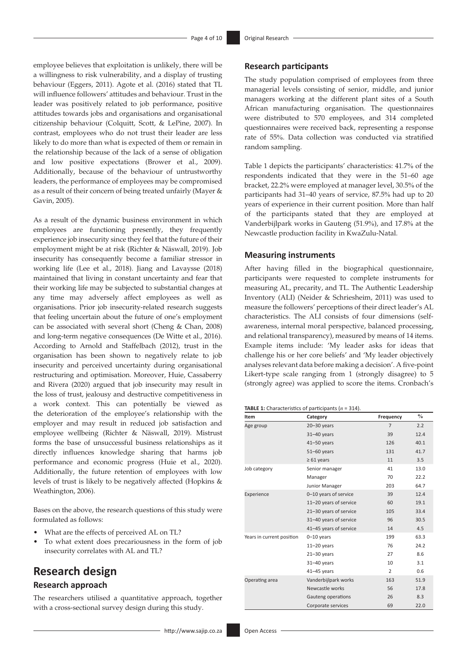employee believes that exploitation is unlikely, there will be a willingness to risk vulnerability, and a display of trusting behaviour (Eggers, 2011). Agote et al. (2016) stated that TL will influence followers' attitudes and behaviour. Trust in the leader was positively related to job performance, positive attitudes towards jobs and organisations and organisational citizenship behaviour (Colquitt, Scott, & LePine, 2007). In contrast, employees who do not trust their leader are less likely to do more than what is expected of them or remain in the relationship because of the lack of a sense of obligation and low positive expectations (Brower et al., 2009). Additionally, because of the behaviour of untrustworthy leaders, the performance of employees may be compromised as a result of their concern of being treated unfairly (Mayer & Gavin, 2005).

As a result of the dynamic business environment in which employees are functioning presently, they frequently experience job insecurity since they feel that the future of their employment might be at risk (Richter & Näswall, 2019). Job insecurity has consequently become a familiar stressor in working life (Lee et al., 2018). Jiang and Lavaysse (2018) maintained that living in constant uncertainty and fear that their working life may be subjected to substantial changes at any time may adversely affect employees as well as organisations. Prior job insecurity-related research suggests that feeling uncertain about the future of one's employment can be associated with several short (Cheng & Chan, 2008) and long-term negative consequences (De Witte et al., 2016). According to Arnold and Staffelbach (2012), trust in the organisation has been shown to negatively relate to job insecurity and perceived uncertainty during organisational restructuring and optimisation. Moreover, Huie, Cassaberry and Rivera (2020) argued that job insecurity may result in the loss of trust, jealousy and destructive competitiveness in a work context. This can potentially be viewed as the deterioration of the employee's relationship with the employer and may result in reduced job satisfaction and employee wellbeing (Richter & Näswall, 2019). Mistrust forms the base of unsuccessful business relationships as it directly influences knowledge sharing that harms job performance and economic progress (Huie et al., 2020). Additionally, the future retention of employees with low levels of trust is likely to be negatively affected (Hopkins & Weathington, 2006).

Bases on the above, the research questions of this study were formulated as follows:

- What are the effects of perceived AL on TL?
- To what extent does precariousness in the form of job insecurity correlates with AL and TL?

### **Research design Research approach**

The researchers utilised a quantitative approach, together with a cross-sectional survey design during this study.

#### **Research participants**

The study population comprised of employees from three managerial levels consisting of senior, middle, and junior managers working at the different plant sites of a South African manufacturing organisation. The questionnaires were distributed to 570 employees, and 314 completed questionnaires were received back, representing a response rate of 55%. Data collection was conducted via stratified random sampling.

Table 1 depicts the participants' characteristics: 41.7% of the respondents indicated that they were in the 51–60 age bracket, 22.2% were employed at manager level, 30.5% of the participants had 31–40 years of service, 87.5% had up to 20 years of experience in their current position. More than half of the participants stated that they are employed at Vanderbijlpark works in Gauteng (51.9%), and 17.8% at the Newcastle production facility in KwaZulu-Natal.

#### **Measuring instruments**

After having filled in the biographical questionnaire, participants were requested to complete instruments for measuring AL, precarity, and TL. The Authentic Leadership Inventory (ALI) (Neider & Schriesheim, 2011) was used to measure the followers' perceptions of their direct leader's AL characteristics. The ALI consists of four dimensions (selfawareness, internal moral perspective, balanced processing, and relational transparency), measured by means of 14 items. Example items include: 'My leader asks for ideas that challenge his or her core beliefs' and 'My leader objectively analyses relevant data before making a decision'. A five-point Likert-type scale ranging from 1 (strongly disagree) to 5 (strongly agree) was applied to score the items. Cronbach's

#### **TABLE 1:** Characteristics of participants (*n* = 314).

| Item                      | Category               | Frequency      | $\%$ |
|---------------------------|------------------------|----------------|------|
| Age group                 | $20 - 30$ years        | $\overline{7}$ | 2.2  |
|                           | $31 - 40$ years        | 39             | 12.4 |
|                           | $41 - 50$ years        | 126            | 40.1 |
|                           | $51 - 60$ years        | 131            | 41.7 |
|                           | $\geq 61$ years        | 11             | 3.5  |
| Job category              | Senior manager         | 41             | 13.0 |
|                           | Manager                | 70             | 22.2 |
|                           | Junior Manager         | 203            | 64.7 |
| Experience                | 0-10 years of service  | 39             | 12.4 |
|                           | 11-20 years of service | 60             | 19.1 |
|                           | 21-30 years of service | 105            | 33.4 |
|                           | 31-40 years of service | 96             | 30.5 |
|                           | 41-45 years of service | 14             | 4.5  |
| Years in current position | $0 - 10$ years         | 199            | 63.3 |
|                           | $11-20$ years          | 76             | 24.2 |
|                           | $21 - 30$ years        | 27             | 8.6  |
|                           | 31-40 years            | 10             | 3.1  |
|                           | 41-45 years            | $\overline{2}$ | 0.6  |
| Operating area            | Vanderbijlpark works   | 163            | 51.9 |
|                           | Newcastle works        | 56             | 17.8 |
|                           | Gauteng operations     | 26             | 8.3  |
|                           | Corporate services     | 69             | 22.0 |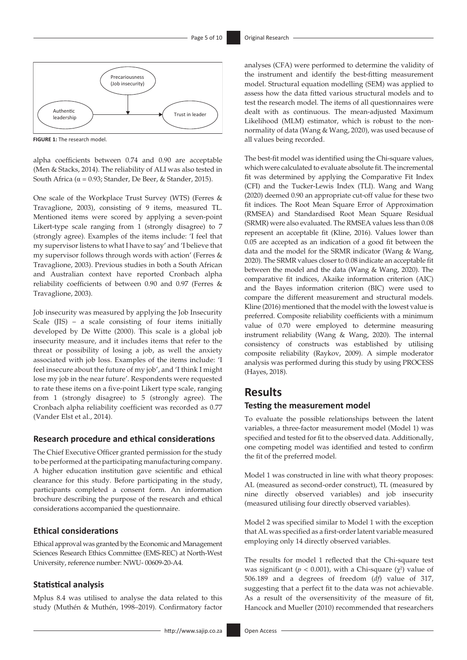

**FIGURE 1:** The research model.

alpha coefficients between 0.74 and 0.90 are acceptable (Men & Stacks, 2014). The reliability of ALI was also tested in South Africa ( $\alpha$  = 0.93; Stander, De Beer, & Stander, 2015).

One scale of the Workplace Trust Survey (WTS) (Ferres & Travaglione, 2003), consisting of 9 items, measured TL. Mentioned items were scored by applying a seven-point Likert-type scale ranging from 1 (strongly disagree) to 7 (strongly agree). Examples of the items include: 'I feel that my supervisor listens to what I have to say' and 'I believe that my supervisor follows through words with action' (Ferres & Travaglione, 2003). Previous studies in both a South African and Australian context have reported Cronbach alpha reliability coefficients of between 0.90 and 0.97 (Ferres & Travaglione, 2003).

Job insecurity was measured by applying the Job Insecurity Scale (JIS) – a scale consisting of four items initially developed by De Witte (2000). This scale is a global job insecurity measure, and it includes items that refer to the threat or possibility of losing a job, as well the anxiety associated with job loss. Examples of the items include: 'I feel insecure about the future of my job', and 'I think I might lose my job in the near future'. Respondents were requested to rate these items on a five-point Likert type scale, ranging from 1 (strongly disagree) to 5 (strongly agree). The Cronbach alpha reliability coefficient was recorded as 0.77 (Vander Elst et al., 2014).

#### **Research procedure and ethical considerations**

The Chief Executive Officer granted permission for the study to be performed at the participating manufacturing company. A higher education institution gave scientific and ethical clearance for this study. Before participating in the study, participants completed a consent form. An information brochure describing the purpose of the research and ethical considerations accompanied the questionnaire.

#### **Ethical considerations**

Ethical approval was granted by the Economic and Management Sciences Research Ethics Committee (EMS-REC) at North-West University, reference number: NWU- 00609-20-A4.

#### **Statistical analysis**

Mplus 8.4 was utilised to analyse the data related to this study (Muthén & Muthén, 1998–2019). Confirmatory factor

<http://www.sajip.co.za> Open Access

analyses (CFA) were performed to determine the validity of the instrument and identify the best-fitting measurement model. Structural equation modelling (SEM) was applied to assess how the data fitted various structural models and to test the research model. The items of all questionnaires were dealt with as continuous. The mean-adjusted Maximum Likelihood (MLM) estimator, which is robust to the nonnormality of data (Wang & Wang, 2020), was used because of all values being recorded.

The best-fit model was identified using the Chi-square values, which were calculated to evaluate absolute fit. The incremental fit was determined by applying the Comparative Fit Index (CFI) and the Tucker-Lewis Index (TLI). Wang and Wang (2020) deemed 0.90 an appropriate cut-off value for these two fit indices. The Root Mean Square Error of Approximation (RMSEA) and Standardised Root Mean Square Residual (SRMR) were also evaluated. The RMSEA values less than 0.08 represent an acceptable fit (Kline, 2016). Values lower than 0.05 are accepted as an indication of a good fit between the data and the model for the SRMR indicator (Wang & Wang, 2020). The SRMR values closer to 0.08 indicate an acceptable fit between the model and the data (Wang & Wang, 2020). The comparative fit indices, Akaike information criterion (AIC) and the Bayes information criterion (BIC) were used to compare the different measurement and structural models. Kline (2016) mentioned that the model with the lowest value is preferred. Composite reliability coefficients with a minimum value of 0.70 were employed to determine measuring instrument reliability (Wang & Wang, 2020). The internal consistency of constructs was established by utilising composite reliability (Raykov, 2009). A simple moderator analysis was performed during this study by using PROCESS (Hayes, 2018).

### **Results**

#### **Testing the measurement model**

To evaluate the possible relationships between the latent variables, a three-factor measurement model (Model 1) was specified and tested for fit to the observed data. Additionally, one competing model was identified and tested to confirm the fit of the preferred model.

Model 1 was constructed in line with what theory proposes: AL (measured as second-order construct), TL (measured by nine directly observed variables) and job insecurity (measured utilising four directly observed variables).

Model 2 was specified similar to Model 1 with the exception that AL was specified as a first-order latent variable measured employing only 14 directly observed variables.

The results for model 1 reflected that the Chi-square test was significant ( $p < 0.001$ ), with a Chi-square ( $\chi^2$ ) value of 506.189 and a degrees of freedom (*df*) value of 317, suggesting that a perfect fit to the data was not achievable. As a result of the oversensitivity of the measure of fit, Hancock and Mueller (2010) recommended that researchers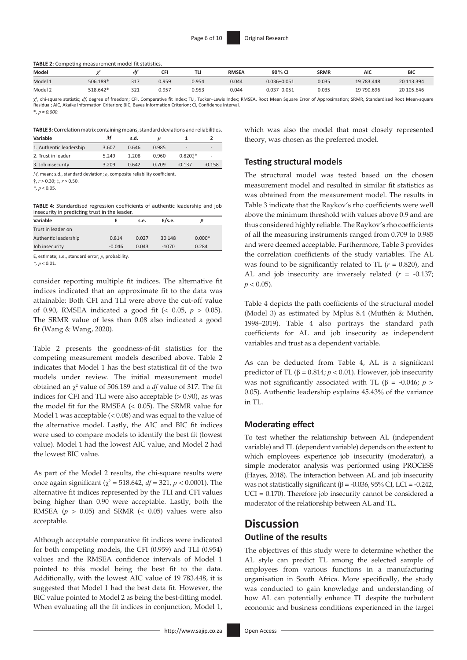**TABLE 2:** Competing measurement model fit statistics.

| Model   |          |     | cЕ    |       | <b>RMSEA</b> | 90% CI          | <b>SRMR</b> | AIC        | <b>BIC</b> |
|---------|----------|-----|-------|-------|--------------|-----------------|-------------|------------|------------|
| Model 1 | 506.189* | 317 | ე.959 | ን.954 | 0.044        | $0.036 - 0.051$ | 0.035       | 19 783.448 | 20 113.394 |
| Model 2 | 518.642* | 321 | 0.957 | 0.953 | 0.044        | $0.037 - 0.051$ | 0.035       | 19 790.696 | 20 105.646 |

χ<sup>2</sup>, chi-square statistic; *df*, degree of freedom; CFI, Comparative fit Index; TLI, Tucker–Lewis Index; RMSEA, Root Mean Square Error of Approximation; SRMR, Standardised Root Mean-square esidual; AIC, Akaike Information Criterion; BIC, Bayes Information Criterion; CI, Confidence Interval \**, p = 0.000.*

| TABLE 3: Correlation matrix containing means, standard deviations and reliabilities. |       |       |       |                          |                          |  |  |
|--------------------------------------------------------------------------------------|-------|-------|-------|--------------------------|--------------------------|--|--|
| Variable                                                                             |       | s.d.  |       |                          |                          |  |  |
| 1. Authentic leadership                                                              | 3.607 | 0.646 | 0.985 | $\overline{\phantom{a}}$ | $\overline{\phantom{0}}$ |  |  |

| 2. Trust in leader | 5.249 | 1.208 | 0.960 | $0.8201*$ |          |
|--------------------|-------|-------|-------|-----------|----------|
| 3. Job insecurity  | 3.209 | 0.642 | 0.709 | $-0.137$  | $-0.158$ |

*M*, mean; s.d., standard deviation; *ρ*, composite reliability coefficient.

†, *r* > 0.30; ‡, *r* > 0.50.

*\*, p* < 0.05.

**TABLE 4:** Standardised regression coefficients of authentic leadership and job insecurity in predicting trust in the leader.

| Variable             |          | s.e.  | E/s.e. |          |
|----------------------|----------|-------|--------|----------|
| Trust in leader on   |          |       |        |          |
| Authentic leadership | 0.814    | 0.027 | 30 148 | $0.000*$ |
| Job insecurity       | $-0.046$ | 0.043 | -1070  | 0.284    |
|                      |          |       |        |          |

E, estimate; s.e., standard error; *p*, probability.

*\*, p* < 0.01.

consider reporting multiple fit indices. The alternative fit indices indicated that an approximate fit to the data was attainable: Both CFI and TLI were above the cut-off value of 0.90, RMSEA indicated a good fit (< 0.05, *p* > 0.05). The SRMR value of less than 0.08 also indicated a good fit (Wang & Wang, 2020).

Table 2 presents the goodness-of-fit statistics for the competing measurement models described above. Table 2 indicates that Model 1 has the best statistical fit of the two models under review. The initial measurement model obtained an  $\chi^2$  value of 506.189 and a *df* value of 317. The fit indices for CFI and TLI were also acceptable  $(> 0.90)$ , as was the model fit for the RMSEA (< 0.05). The SRMR value for Model 1 was acceptable (< 0.08) and was equal to the value of the alternative model. Lastly, the AIC and BIC fit indices were used to compare models to identify the best fit (lowest value). Model 1 had the lowest AIC value, and Model 2 had the lowest BIC value.

As part of the Model 2 results, the chi-square results were once again significant ( $\chi^2$  = 518.642, *df* = 321, *p* < 0.0001). The alternative fit indices represented by the TLI and CFI values being higher than 0.90 were acceptable. Lastly, both the RMSEA ( $p > 0.05$ ) and SRMR (< 0.05) values were also acceptable.

Although acceptable comparative fit indices were indicated for both competing models, the CFI (0.959) and TLI (0.954) values and the RMSEA confidence intervals of Model 1 pointed to this model being the best fit to the data. Additionally, with the lowest AIC value of 19 783.448, it is suggested that Model 1 had the best data fit. However, the BIC value pointed to Model 2 as being the best-fitting model. When evaluating all the fit indices in conjunction, Model 1,

which was also the model that most closely represented theory, was chosen as the preferred model.

#### **Testing structural models**

The structural model was tested based on the chosen measurement model and resulted in similar fit statistics as was obtained from the measurement model. The results in Table 3 indicate that the Raykov's rho coefficients were well above the minimum threshold with values above 0.9 and are thus considered highly reliable. The Raykov's rho coefficients of all the measuring instruments ranged from 0.709 to 0.985 and were deemed acceptable. Furthermore, Table 3 provides the correlation coefficients of the study variables. The AL was found to be significantly related to TL (*r* = 0.820), and AL and job insecurity are inversely related (*r* = -0.137;  $p < 0.05$ ).

Table 4 depicts the path coefficients of the structural model (Model 3) as estimated by Mplus 8.4 (Muthén & Muthén, 1998–2019). Table 4 also portrays the standard path coefficients for AL and job insecurity as independent variables and trust as a dependent variable.

As can be deducted from Table 4, AL is a significant predictor of TL ( $β = 0.814$ ;  $p < 0.01$ ). However, job insecurity was not significantly associated with TL ( $\beta$  = -0.046; *p* > 0.05). Authentic leadership explains 45.43% of the variance in TL.

#### **Moderating effect**

To test whether the relationship between AL (independent variable) and TL (dependent variable) depends on the extent to which employees experience job insecurity (moderator), a simple moderator analysis was performed using PROCESS (Hayes, 2018). The interaction between AL and job insecurity was not statistically significant ( $\beta$  = -0.036, 95% CI, LCI = -0.242, UCI = 0.170). Therefore job insecurity cannot be considered a moderator of the relationship between AL and TL.

### **Discussion Outline of the results**

The objectives of this study were to determine whether the AL style can predict TL among the selected sample of employees from various functions in a manufacturing organisation in South Africa. More specifically, the study was conducted to gain knowledge and understanding of how AL can potentially enhance TL despite the turbulent economic and business conditions experienced in the target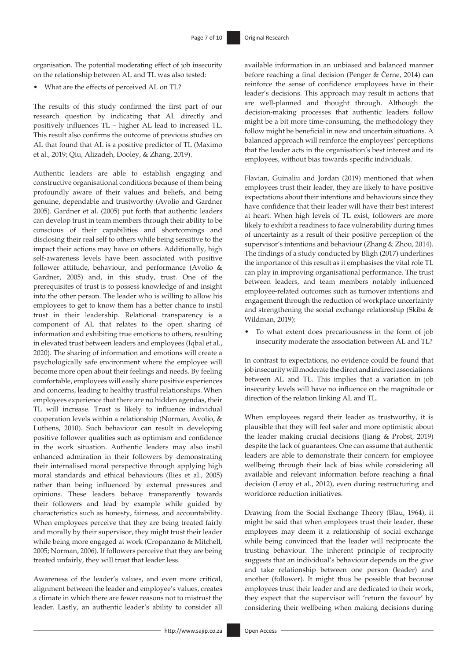organisation. The potential moderating effect of job insecurity on the relationship between AL and TL was also tested:

• What are the effects of perceived AL on TL?

The results of this study confirmed the first part of our research question by indicating that AL directly and positively influences TL – higher AL lead to increased TL. This result also confirms the outcome of previous studies on AL that found that AL is a positive predictor of TL (Maximo et al., 2019; Qiu, Alizadeh, Dooley, & Zhang, 2019).

Authentic leaders are able to establish engaging and constructive organisational conditions because of them being profoundly aware of their values and beliefs, and being genuine, dependable and trustworthy (Avolio and Gardner 2005). Gardner et al. (2005) put forth that authentic leaders can develop trust in team members through their ability to be conscious of their capabilities and shortcomings and disclosing their real self to others while being sensitive to the impact their actions may have on others. Additionally, high self-awareness levels have been associated with positive follower attitude, behaviour, and performance (Avolio & Gardner, 2005) and, in this study, trust. One of the prerequisites of trust is to possess knowledge of and insight into the other person. The leader who is willing to allow his employees to get to know them has a better chance to instil trust in their leadership. Relational transparency is a component of AL that relates to the open sharing of information and exhibiting true emotions to others, resulting in elevated trust between leaders and employees (Iqbal et al., 2020). The sharing of information and emotions will create a psychologically safe environment where the employee will become more open about their feelings and needs. By feeling comfortable, employees will easily share positive experiences and concerns, leading to healthy trustful relationships. When employees experience that there are no hidden agendas, their TL will increase. Trust is likely to influence individual cooperation levels within a relationship (Norman, Avolio, & Luthens, 2010). Such behaviour can result in developing positive follower qualities such as optimism and confidence in the work situation. Authentic leaders may also instil enhanced admiration in their followers by demonstrating their internalised moral perspective through applying high moral standards and ethical behaviours (Ilies et al., 2005) rather than being influenced by external pressures and opinions. These leaders behave transparently towards their followers and lead by example while guided by characteristics such as honesty, fairness, and accountability. When employees perceive that they are being treated fairly and morally by their supervisor, they might trust their leader while being more engaged at work (Cropanzano & Mitchell, 2005; Norman, 2006). If followers perceive that they are being treated unfairly, they will trust that leader less.

Awareness of the leader's values, and even more critical, alignment between the leader and employee's values, creates a climate in which there are fewer reasons not to mistrust the leader. Lastly, an authentic leader's ability to consider all available information in an unbiased and balanced manner before reaching a final decision (Penger & Černe, 2014) can reinforce the sense of confidence employees have in their leader's decisions. This approach may result in actions that are well-planned and thought through. Although the decision-making processes that authentic leaders follow might be a bit more time-consuming, the methodology they follow might be beneficial in new and uncertain situations. A balanced approach will reinforce the employees' perceptions that the leader acts in the organisation's best interest and its employees, without bias towards specific individuals.

Flavian, Guinaliu and Jordan (2019) mentioned that when employees trust their leader, they are likely to have positive expectations about their intentions and behaviours since they have confidence that their leader will have their best interest at heart. When high levels of TL exist, followers are more likely to exhibit a readiness to face vulnerability during times of uncertainty as a result of their positive perception of the supervisor's intentions and behaviour (Zhang & Zhou, 2014). The findings of a study conducted by Bligh (2017) underlines the importance of this result as it emphasises the vital role TL can play in improving organisational performance. The trust between leaders, and team members notably influenced employee-related outcomes such as turnover intentions and engagement through the reduction of workplace uncertainty and strengthening the social exchange relationship (Skiba & Wildman, 2019):

• To what extent does precariousness in the form of job insecurity moderate the association between AL and TL?

In contrast to expectations, no evidence could be found that job insecurity will moderate the direct and indirect associations between AL and TL. This implies that a variation in job insecurity levels will have no influence on the magnitude or direction of the relation linking AL and TL.

When employees regard their leader as trustworthy, it is plausible that they will feel safer and more optimistic about the leader making crucial decisions (Jiang & Probst, 2019) despite the lack of guarantees. One can assume that authentic leaders are able to demonstrate their concern for employee wellbeing through their lack of bias while considering all available and relevant information before reaching a final decision (Leroy et al., 2012), even during restructuring and workforce reduction initiatives.

Drawing from the Social Exchange Theory (Blau, 1964), it might be said that when employees trust their leader, these employees may deem it a relationship of social exchange while being convinced that the leader will reciprocate the trusting behaviour. The inherent principle of reciprocity suggests that an individual's behaviour depends on the give and take relationship between one person (leader) and another (follower). It might thus be possible that because employees trust their leader and are dedicated to their work, they expect that the supervisor will 'return the favour' by considering their wellbeing when making decisions during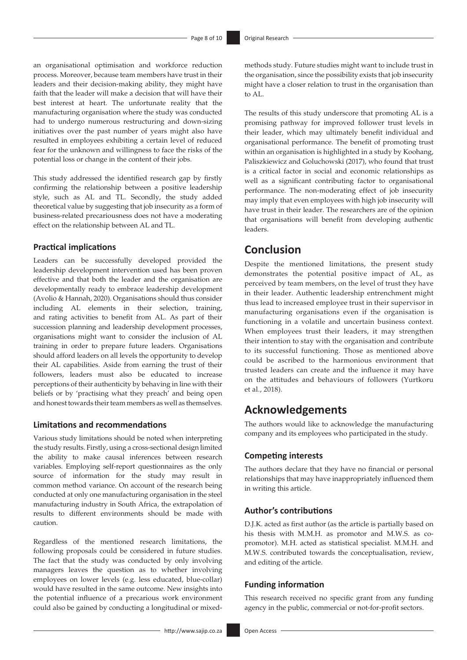an organisational optimisation and workforce reduction process. Moreover, because team members have trust in their leaders and their decision-making ability, they might have faith that the leader will make a decision that will have their best interest at heart. The unfortunate reality that the manufacturing organisation where the study was conducted had to undergo numerous restructuring and down-sizing initiatives over the past number of years might also have resulted in employees exhibiting a certain level of reduced fear for the unknown and willingness to face the risks of the potential loss or change in the content of their jobs.

This study addressed the identified research gap by firstly confirming the relationship between a positive leadership style, such as AL and TL. Secondly, the study added theoretical value by suggesting that job insecurity as a form of business-related precariousness does not have a moderating effect on the relationship between AL and TL.

#### **Practical implications**

Leaders can be successfully developed provided the leadership development intervention used has been proven effective and that both the leader and the organisation are developmentally ready to embrace leadership development (Avolio & Hannah, 2020). Organisations should thus consider including AL elements in their selection, training, and rating activities to benefit from AL. As part of their succession planning and leadership development processes, organisations might want to consider the inclusion of AL training in order to prepare future leaders. Organisations should afford leaders on all levels the opportunity to develop their AL capabilities. Aside from earning the trust of their followers, leaders must also be educated to increase perceptions of their authenticity by behaving in line with their beliefs or by 'practising what they preach' and being open and honest towards their team members as well as themselves.

#### **Limitations and recommendations**

Various study limitations should be noted when interpreting the study results. Firstly, using a cross-sectional design limited the ability to make causal inferences between research variables. Employing self-report questionnaires as the only source of information for the study may result in common method variance. On account of the research being conducted at only one manufacturing organisation in the steel manufacturing industry in South Africa, the extrapolation of results to different environments should be made with caution.

Regardless of the mentioned research limitations, the following proposals could be considered in future studies. The fact that the study was conducted by only involving managers leaves the question as to whether involving employees on lower levels (e.g. less educated, blue-collar) would have resulted in the same outcome. New insights into the potential influence of a precarious work environment could also be gained by conducting a longitudinal or mixedmethods study. Future studies might want to include trust in the organisation, since the possibility exists that job insecurity might have a closer relation to trust in the organisation than to AL.

The results of this study underscore that promoting AL is a promising pathway for improved follower trust levels in their leader, which may ultimately benefit individual and organisational performance. The benefit of promoting trust within an organisation is highlighted in a study by Koohang, Paliszkiewicz and Goluchowski (2017), who found that trust is a critical factor in social and economic relationships as well as a significant contributing factor to organisational performance. The non-moderating effect of job insecurity may imply that even employees with high job insecurity will have trust in their leader. The researchers are of the opinion that organisations will benefit from developing authentic leaders.

### **Conclusion**

Despite the mentioned limitations, the present study demonstrates the potential positive impact of AL, as perceived by team members, on the level of trust they have in their leader. Authentic leadership entrenchment might thus lead to increased employee trust in their supervisor in manufacturing organisations even if the organisation is functioning in a volatile and uncertain business context. When employees trust their leaders, it may strengthen their intention to stay with the organisation and contribute to its successful functioning. Those as mentioned above could be ascribed to the harmonious environment that trusted leaders can create and the influence it may have on the attitudes and behaviours of followers (Yurtkoru et al., 2018).

### **Acknowledgements**

The authors would like to acknowledge the manufacturing company and its employees who participated in the study.

#### **Competing interests**

The authors declare that they have no financial or personal relationships that may have inappropriately influenced them in writing this article.

### **Author's contributions**

D.J.K. acted as first author (as the article is partially based on his thesis with M.M.H. as promotor and M.W.S. as copromotor). M.H. acted as statistical specialist. M.M.H. and M.W.S. contributed towards the conceptualisation, review, and editing of the article.

#### **Funding information**

This research received no specific grant from any funding agency in the public, commercial or not-for-profit sectors.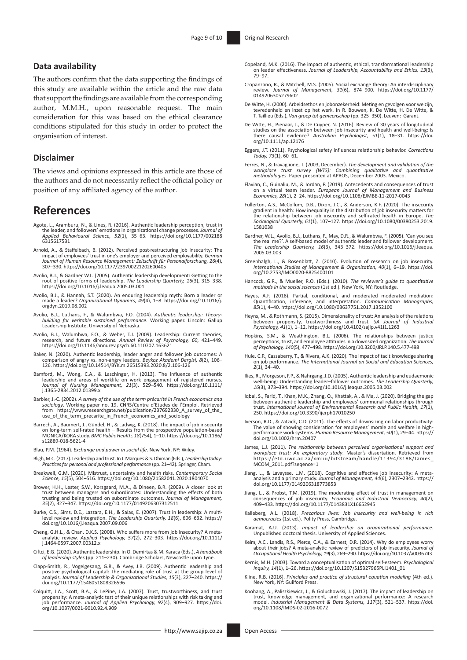#### **Data availability**

The authors confirm that the data supporting the findings of this study are available within the article and the raw data that support the findings are available from the corresponding author, M.M.H., upon reasonable request. The main consideration for this was based on the ethical clearance conditions stipulated for this study in order to protect the organisation of interest.

#### **Disclaimer**

The views and opinions expressed in this article are those of the authors and do not necessarily reflect the official policy or position of any affiliated agency of the author.

### **References**

- Agote, L., Aramburu, N., & Lines, R. (2016). Authentic leadership perception, trust in the leader, and followers' emotions in organizational change processes. *Journal of Applied Behavioural Science, 52*(1), 35–63. [https://doi.org/10.1177/002188](https://doi.org/10.1177/​002188​6315617531) [6315617531](https://doi.org/10.1177/​002188​6315617531)
- Arnold, A., & Staffelbach, B. (2012). Perceived post-restructuring job insecurity: The impact of employees' trust in one's employer and perceived employability. *German Journal of Human Resource Management: Zeitschrift für Personalforschung, 26*(4), 307–330.<https://doi.org/10.1177/239700221202600405>
- Avolio, B.J., & Gardner W.L. (2005). Authentic leadership development: Getting to the root of positive forms of leadership. *The Leadership Quarterly, 16*(3), 315–338. <https://doi.org/10.1016/j.leaqua.2005.03.001>
- Avolio, B.J., & Hannah, S.T. (2020). An enduring leadership myth: Born a leader or made a leader? *Organizational Dynamics, 49*(4), 1–8. [https://doi.org/10.1016/j.](https://doi.org/10.1016/j.orgdyn.2019.08.002) [orgdyn.2019.08.002](https://doi.org/10.1016/j.orgdyn.2019.08.002)
- Avolio, B.J., Luthans, F., & Walumbwa, F.O. (2004). *Authentic leadership: Theorybuilding for veritable sustained performance*. Working paper. Lincoln: Gallup Leadership Institute, University of Nebraska.
- Avolio, B.J., Walumbwa, F.O., & Weber, T.J. (2009). Leadership: Current theories, research, and future directions. *Annual Review of Psychology, 60*, 421–449. <https://doi.org/10.1146/annurev.psych.60.110707.163621>
- Baker, N. (2020). Authentic leadership, leader anger and follower job outcomes: A comparison of angry vs. non-angry leaders. *Beykoz Akademi Dergisi, 8*(2), 106– 126. <https://doi.org/10.14514/BYK.m.26515393.2020.8/2.106-126>
- Bamford, M., Wong, C.A., & Laschinger, H. (2013). The influence of authentic leadership and areas of worklife on work engagement of registered nurses. *Journal of Nursing Management, 21*(3), 529–540. [https://doi.org/10.1111/](https://doi.org/10.1111/​j.1365-2834.2012.01399.x) [j.1365-2834.2012.01399.x](https://doi.org/10.1111/​j.1365-2834.2012.01399.x)
- Barbier, J.-C. (2002). A survey of the use of the term précarité in French economics and<br>sociology. Working paper no. 19. CNRS/Centre d'Etudes de l'Emploi. Retrieved<br>from https://www.researchgate.net/publication/237692330\_ use of the term precarite in French economics and sociology
- Barrech, A., Baumert, J., Gündel, H., & Ladwig, K. (2018). The impact of job insecurity<br>on long-term self-rated health Results from the prospective population-based<br>MONICA/KORA study. *BMC Public Health, 18*(754), 1–10. [s12889-018-5621-4](https://doi.org/10.1186/s12889-018-5621-4)
- Blau, P.M. (1964). *Exchange and power in social life*. New York, NY: Wiley.
- Bligh, M.C. (2017). Leadership and trust. In J. Marques & S. Dhiman (Eds.), *Leadership today: Practices for personal and professional performance* (pp. 21–42). Springer, Cham.
- Breakwell, G.M. (2020). Mistrust, uncertainty and health risks. *Contemporary Social Science, 15*(5), 504–516.<https://doi.org/10.1080/21582041.2020.1804070>
- Brower, H.H., Lester, S.W., Korsgaard, M.A., & Dineen, B.R. (2009). A closer look at trust between managers and subordinates: Understanding the effects of both trust between managers and subordinates: Understanding the effects of both trusting and being trusted on subordinate outcomes. *Journal of Management, 35*(2), 327–347.<https://doi.org/10.1177/0149206307312511>
- Burke, C.S., Sims, D.E., Lazzara, E.H., & Salas, E. (2007). Trust in leadership: A multilevel review and integration. *The Leadership Quarterly, 18*(6), 606–632. [https://](https://doi.org/10.1016/j.leaqua.2007.09.006) [doi.org/10.1016/j.leaqua.2007.09.006](https://doi.org/10.1016/j.leaqua.2007.09.006)
- Cheng, G.H.L., & Chan, D.K.S. (2008). Who suffers more from job insecurity? A meta-analytic review. *Applied Psychology, 57*(2), 272–303. [https://doi.org/10.1111/](https://doi.org/​10.1111/) j.1464-0597.2007.00312.x
- Ciftci, E.G. (2020). Authentic leadership. In O. Demirtas & M. Karaca (Eds.), *A handbook of leadership styles* (pp. 211–230). Cambridge Scholars, Newcastle upon Tyne.
- Clapp-Smith, R., Vogelgesang, G.R., & Avey, J.B. (2009). Authentic leadership and<br>positive psychological capital: The mediating role of trust at the group level of<br>analysis. Journal of Leadership & Organizational Studies, [doi.org/10.1177/1548051808326596](https://doi.org/10.1177/1548051808326596)
- Colquitt, J.A., Scott, B.A., & LePine, J.A. (2007). Trust, trustworthiness, and trust propensity: A meta-analytic test of their unique relationships with risk taking and job performance. *Journal of Applied Psychology, 92*(4), 909–927. [https://doi.](https://doi.org/10.1037/0021-9010.92.4.909) [org/10.1037/0021-9010.92.4.909](https://doi.org/10.1037/0021-9010.92.4.909)
- Copeland, M.K. (2016). The impact of authentic, ethical, transformational leadership on leader effectiveness. *Journal of Leadership, Accountability and Ethics, 13*(3), 79–97.
- Cropanzano, R., & Mitchell, M.S. (2005). Social exchange theory: An interdisciplinary review. *Journal of Management, 31*(6), 874–900. [https://doi.org/10.1177/](https://doi.org/10.1177/​0149206305279602) [0149206305279602](https://doi.org/10.1177/​0149206305279602)
- De Witte, H. (2000). Arbeidsethos en jobonzekerheid: Meting en gevolgen voor welzijn, tevredenheid en inzet op het werk. In R. Bouwen, K. De Witte, H. De Witte, & T. Taillieu (Eds.), *Van groep tot gemeenschap* (pp. 325–350). Leuven: Garant.
- De Witte, H., Pienaar, J., & De Cuyper, N. (2016). Review of 30 years of longitudinal<br>studies on the association between job insecurity and health and well-being: 1s<br>there causal evidence? Australian Psychologist, 51(1), 1 [org/10.1111/ap.12176](https://doi.org/10.1111/ap.12176)
- Eggers, J.T. (2011). Psychological safety influences relationship behavior. *Corrections Today, 73*(1), 60–61.
- Ferres, N., & Travaglione, T. (2003, December). *The development and validation of the workplace trust survey (WTS): Combining qualitative and quantitative methodologies*. Paper presented at APROS, December 2003. Mexico.
- Flavian, C., Guinaliu, M., & Jordan, P. (2019). Antecedents and consequences of trust on a virtual team leader. *European Journal of Management and Business Economics, 28*(1), 2–24. <https://doi.org/10.1108/EJMBE-11-2017-0043>
- Fullerton, A.S., McCollum, D.B., Dixon, J.C., & Anderson, K.F. (2020). The insecurity gradient in health: How inequality in the distribution of job insecurity matters for the relationship between job insecurity and self-rated health in Europe. *The Sociological Quarterly, 61*(1), 107–127. [https://doi.org/10.1080/00380253.2019.](https://doi.org/10.1080/00380253.2019.1581038) [1581038](https://doi.org/10.1080/00380253.2019.1581038)
- Gardner, W.L., Avolio, B.J., Luthans, F., May, D.R., & Walumbwa, F. (2005). 'Can you see the real me?'. A self-based model of authentic leader and follower development. *The Leadership Quarterly, 16*(3), 343–372. [https://doi.org/10.1016/j.leaqua.](https://doi.org/10.1016/j.leaqua.​2005.03.003) [2005.03.003](https://doi.org/10.1016/j.leaqua.​2005.03.003)
- Greenhalgh, L., & Rosenblatt, Z. (2010). Evolution of research on job insecurity. *International Studies of Management & Organization, 40*(1), 6–19. [https://doi.](https://doi.org/10.2753/IMO0020-8825400101) [org/10.2753/IMO0020-8825400101](https://doi.org/10.2753/IMO0020-8825400101)
- Hancock, G.R., & Mueller, R.O. (Eds.). (2010). *The reviewer's guide to quantitative methods in the social sciences* (1st ed.). New York, NY: Routledge.
- Hayes, A.F. (2018). Partial, conditional, and moderated moderated mediation: Quantification, inference, and interpretation. *Communication Monographs, 85*(1), 4–40. <https://doi.org/10.1080/03637751.2017.1352100>
- Heyns, M., & Rothmann, S. (2015). Dimensionality of trust: An analysis of the relations between propensity, trustworthiness and trust. *SA Journal of Industrial Psychology, 41*(1), 1–12.<https://doi.org/10.4102/sajip.v41i1.1263>
- Hopkins, S.M., & Weathington, B.L. (2006). The relationships between justice perceptions, trust, and employee attitudes in a downsized organization. *The Journal of Psychology, 140*(5), 477–498.<https://doi.org/10.3200/JRLP.140.5.477-498>
- Huie, C.P., Cassaberry, T., & Rivera, A.K. (2020). The impact of tacit knowledge sharing on job performance. *The International Journal on Social and Education Sciences, 2*(1), 34–40.
- Ilies, R., Morgeson, F.P., & Nahrgang, J.D. (2005). Authentic leadership and eudaemonic well-being: Understanding leader–follower outcomes. *The Leadership Quarterly, 16*(3), 373–394.<https://doi.org/10.1016/j.leaqua.2005.03.002>
- Iqbal, S., Farid, T., Khan, M.K., Zhang, Q., Khattak, A., & Ma, J. (2020). Bridging the gap between authentic leadership and employees' communal relationships through trust. *International Journal of Environmental Research and Public Health, 17*(1), 250.<https://doi.org/10.3390/ijerph17010250>
- Iverson, R.D., & Zatzick, C.D. (2011). The effects of downsizing on labor productivity: The value of showing consideration for employees' morale and welfare in highperformance work systems. *Human Resource Management, 50*(1), 29–44. [https://](https://doi.org/10.1002/hrm.20407) [doi.org/10.1002/hrm.20407](https://doi.org/10.1002/hrm.20407)
- James, L.J. (2011). The relationship between perceived organisational support and<br>workplace trust: An exploratory study. Master's dissertation. Retrieved from<br>[https://etd.uwc.ac.za/xmlui/bitstream/handle/11394/3188/James\\_](https://etd.uwc.ac.za/xmlui/bitstream/handle/11394/3188/James_MCOM_2011.pdf?seqence=1) [MCOM\\_2011.pdf?seqence=1](https://etd.uwc.ac.za/xmlui/bitstream/handle/11394/3188/James_MCOM_2011.pdf?seqence=1)
- Jiang, L., & Lavaysse, L.M. (2018). Cognitive and affective job insecurity: A metaanalysis and a primary study. *Journal of Management, 44*(6), 2307–2342. [https://](https://doi.org/10.1177/0149206318773853) [doi.org/10.1177/0149206318773853](https://doi.org/10.1177/0149206318773853)
- Jiang, L., & Probst, T.M. (2019). The moderating effect of trust in management on consequences of job insecurity. *Economic and Industrial Democracy, 40*(2), 409–433.<https://doi.org/10.1177/0143831X16652945>
- Kalleberg, A.L. (2018). *Precarious lives: Job insecurity and well-being in rich democracies* (1st ed.). Polity Press, Cambridge.
- Karamat, A.U. (2013). *Impact of leadership on organizational performance*. Unpublished doctoral thesis. University of Applied Sciences.
- Keim, A.C., Landis, R.S., Pierce, C.A., & Earnest, D.R. (2014). Why do employees worry about their jobs? A meta-analytic review of predictors of job insecurity. *Journal of Occupational Health Psychology, 19*(3), 269–290. <https://doi.org/10.1037/a0036743>
- Kernis, M.H. (2003). Toward a conceptualisation of optimal self-esteem. *Psychological Inquiry, 14*(1), 1–26. [https://doi.org/10.1207/S15327965PLI1401\\_01](https://doi.org/10.1207/S15327965PLI1401_01)
- Kline, R.B. (2016). *Principles and practice of structural equation modeling* (4th ed.). New York, NY: Guilford Press.
- Koohang, A., Paliszkiewicz, J., & Goluchowski, J. (2017). The impact of leadership on trust, knowledge management, and organizational performance: A research model. *Industrial Management & Data Systems, 117*(3), 521–537. [https://doi.](https://doi.org/10.1108/IMDS-02-2016-0072) [org/10.1108/IMDS-02-2016-0072](https://doi.org/10.1108/IMDS-02-2016-0072)